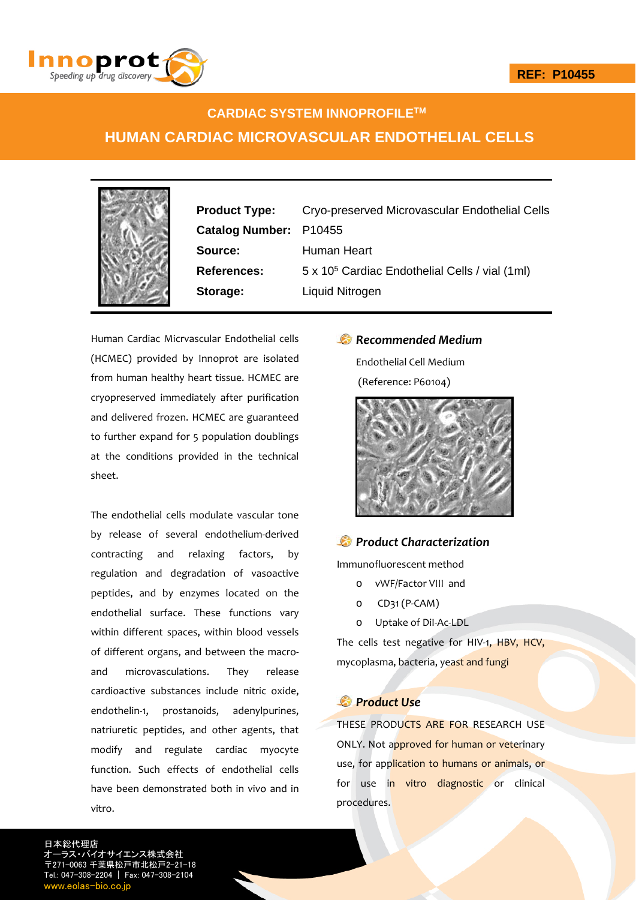

# **CARDIAC SYSTEM INNOPROFILETM HUMAN CARDIAC MICROVASCULAR ENDOTHELIAL CELLS**

**Product Type:** Cryo-preserved Microvascular Endothelial Cells **Catalog Number:** P10455 **Source:** Human Heart References: 5 x 10<sup>5</sup> Cardiac Endothelial Cells / vial (1ml) **Storage:** Liquid Nitrogen

Human Cardiac Micrvascular Endothelial cells (HCMEC) provided by Innoprot are isolated from human healthy heart tissue. HCMEC are cryopreserved immediately after purification and delivered frozen. HCMEC are guaranteed to further expand for 5 population doublings at the conditions provided in the technical sheet.

The endothelial cells modulate vascular tone by release of several endothelium‐derived contracting and relaxing factors, by regulation and degradation of vasoactive peptides, and by enzymes located on the endothelial surface. These functions vary within different spaces, within blood vessels of different organs, and between the macro‐ and microvasculations. They release cardioactive substances include nitric oxide, endothelin-1, prostanoids, adenylpurines, natriuretic peptides, and other agents, that modify and regulate cardiac myocyte function. Such effects of endothelial cells have been demonstrated both in vivo and in vitro.

### *Recommended Medium*

Endothelial Cell Medium (Reference: P60104)



### *Product Characterization*

Immunofluorescent method

- o vWF/Factor VIII and
- o CD31 (P‐CAM)
- o Uptake of DiI‐Ac‐LDL

The cells test negative for HIV-1, HBV, HCV, mycoplasma, bacteria, yeast and fungi

### *Product Use*

THESE PRODUCTS ARE FOR RESEARCH USE ONLY. Not approved for human or veterinary use, for application to humans or animals, or for use in vitro diagnostic or clinical procedures.

日本総代理店 サイエンス株式会社 〒271-0063 千葉県松戸市北松戸2-21-18 Tel.: 047-308-2204 | Fax: 047-308-2104 w eolas-bio.co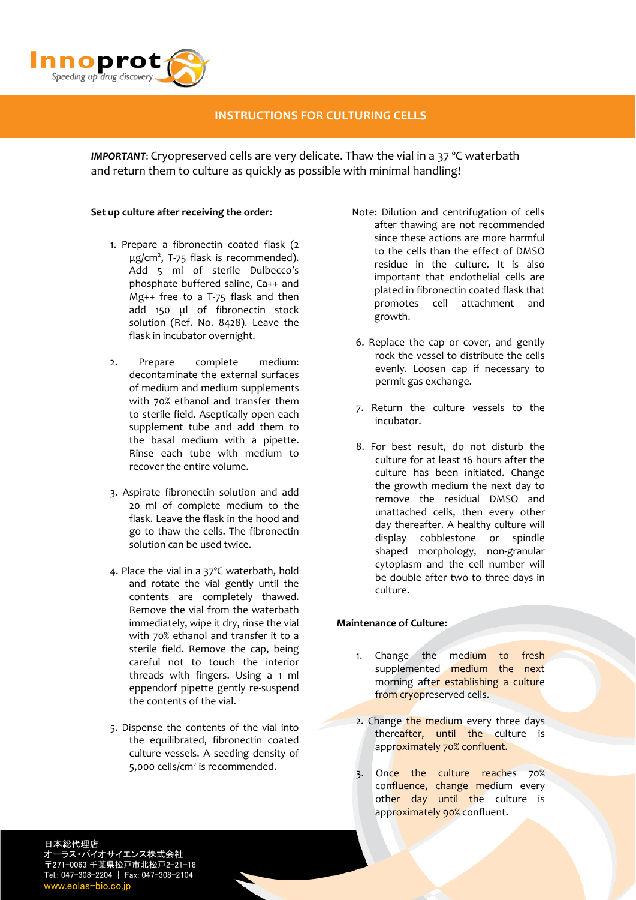

## **INSTRUCTIONS FOR CULTURING CELLS**

*IMPORTANT*: Cryopreserved cells are very delicate. Thaw the vial in a 37 ºC waterbath and return them to culture as quickly as possible with minimal handling!

#### **Set up culture after receiving the order:**

- 1. Prepare a fibronectin coated flask (2 μg/cm<sup>2</sup>, T-75 flask is recommended). Add 5 ml of sterile Dulbecco's phosphate buffered saline, Ca++ and Mg++ free to a T‐75 flask and then add 150 μl of fibronectin stock solution (Ref. No. 8428). Leave the flask in incubator overnight.
- 2. Prepare complete medium: decontaminate the external surfaces of medium and medium supplements with 70% ethanol and transfer them to sterile field. Aseptically open each supplement tube and add them to the basal medium with a pipette. Rinse each tube with medium to recover the entire volume.
- 3. Aspirate fibronectin solution and add 20 ml of complete medium to the flask. Leave the flask in the hood and go to thaw the cells. The fibronectin solution can be used twice.
- 4. Place the vial in a 37ºC waterbath, hold and rotate the vial gently until the contents are completely thawed. Remove the vial from the waterbath immediately, wipe it dry, rinse the vial with 70% ethanol and transfer it to a sterile field. Remove the cap, being careful not to touch the interior threads with fingers. Using a 1 ml eppendorf pipette gently re‐suspend the contents of the vial.
- 5. Dispense the contents of the vial into the equilibrated, fibronectin coated culture vessels. A seeding density of 5,000 cells/cm<sup>2</sup> is recommended.
- Note: Dilution and centrifugation of cells after thawing are not recommended since these actions are more harmful to the cells than the effect of DMSO residue in the culture. It is also important that endothelial cells are plated in fibronectin coated flask that promotes cell attachment and growth.
- 6. Replace the cap or cover, and gently rock the vessel to distribute the cells evenly. Loosen cap if necessary to permit gas exchange.
- 7. Return the culture vessels to the incubator.
- 8. For best result, do not disturb the culture for at least 16 hours after the culture has been initiated. Change the growth medium the next day to remove the residual DMSO and unattached cells, then every other day thereafter. A healthy culture will display cobblestone or spindle shaped morphology, non‐granular cytoplasm and the cell number will be double after two to three days in culture.

#### **Maintenance of Culture:**

- 1. Change the medium to fresh supplemented medium the next morning after establishing a culture from cryopreserved cells.
- 2. Change the medium every three days thereafter, until the culture is approximately 70% confluent.
- 3. Once the culture reaches 70% confluence, change medium every other day until the culture is approximately 90% confluent.

日本総代理店 ラス・バイオサイエンス株式会社 〒271-0063 千葉県松戸市北松戸2-21-18 Tel.: 047-308-2204 | Fax: 047-308-2104 www.eolas-bio.co.